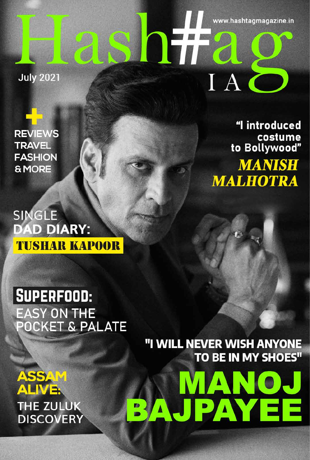**July 2021** 

**REVIEWS TRAVEL FASHION & MORE** 

SINGLE DAD DIARY: **TUSHAR KAPOOR** 

"I introduced costume<br>"to Bollywood **MANISH MALHOTRA** 

www.hashtagmagazine.in

IAC

# SUPERFOOD: **EASY ON THE** POCKET & PALATE

# "I WILL NEVER WISH ANYONE TO BE IN MY SHOES" ANN (O) **PAVEE**

**ASSA ALIVE: THE ZULUK DISCOVERY**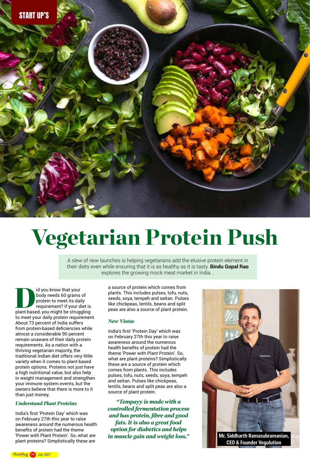



A slew of new launches is helping vegetarians add the elusive protein element in their diets even while ensuring that it is as healthy as it is tasty. **Bindu Gopal Rao**  explores the growing mock meat market in India...

Id you know that your<br>
body needs 60 grams of<br>
protein to meet its daily<br>
requirement? If your diet is<br>
plant-based, you might be struggling body needs 60 grams of protein to meet its daily requirement? If your diet is to meet your daily protein requirement. About 73 percent of India suffers from protein-based deficiencies while almost a considerable 90 percent remain unaware of their daily protein requirements. As a nation with a thriving vegetarian majority, the traditional Indian diet offers very little variety when it comes to plant-based protein options. Proteins not just have a high nutritional value, but also help in weight management and strengthen your immune system.events, but the owners believe that there is more to it than just money.

India's first 'Protein Day' which was on February 27th this year to raise awareness around the numerous health benefits of protein had the theme 'Power with Plant Protein'. So, what are plant proteins? Simplistically these are

#### *Understand Plant Proteins*

India's first 'Protein Day' which was on February 27th this year to raise awareness around the numerous health benefits of protein had the theme 'Power with Plant Protein'. So, what are plant proteins? Simplistically these are a source of protein which comes from plants. This includes pulses, tofu, nuts, seeds, soya, tempeh and seitan. Pulses like chickpeas, lentils, beans and split peas are also a source of plant protein.

> **Mr. Siddharth Ramasubramanian, CEO & Founder Vegolution**

*"Tempayy is made with a controlled fermentation process and has protein, fibre and good fats. It is also a great food option for diabetics and helps in muscle gain and weight loss,"* 



a source of protein which comes from plants. This includes pulses, tofu, nuts, seeds, soya, tempeh and seitan. Pulses like chickpeas, lentils, beans and split peas are also a source of plant protein.

#### *New Vistas*